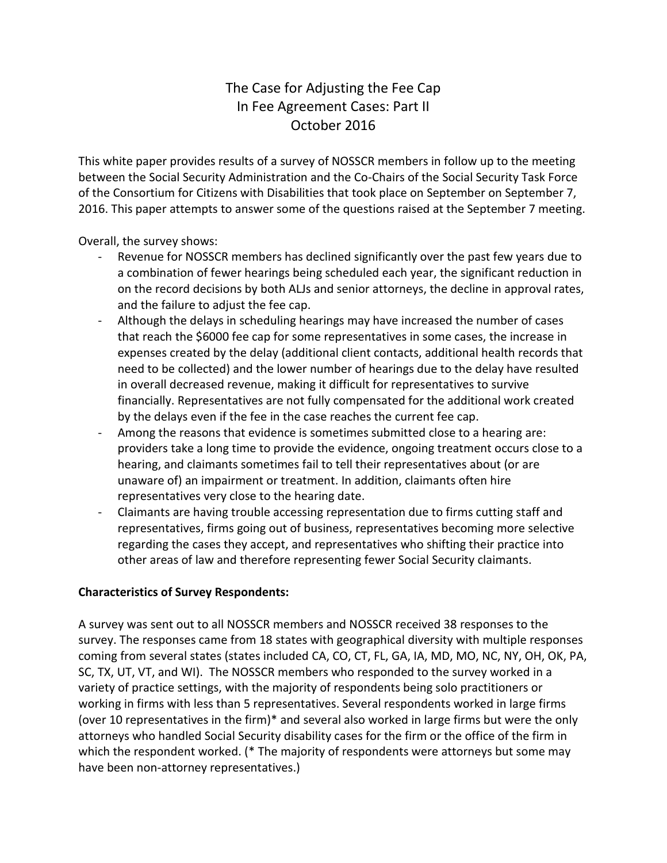# The Case for Adjusting the Fee Cap In Fee Agreement Cases: Part II October 2016

This white paper provides results of a survey of NOSSCR members in follow up to the meeting between the Social Security Administration and the Co-Chairs of the Social Security Task Force of the Consortium for Citizens with Disabilities that took place on September on September 7, 2016. This paper attempts to answer some of the questions raised at the September 7 meeting.

Overall, the survey shows:

- Revenue for NOSSCR members has declined significantly over the past few years due to a combination of fewer hearings being scheduled each year, the significant reduction in on the record decisions by both ALJs and senior attorneys, the decline in approval rates, and the failure to adjust the fee cap.
- Although the delays in scheduling hearings may have increased the number of cases that reach the \$6000 fee cap for some representatives in some cases, the increase in expenses created by the delay (additional client contacts, additional health records that need to be collected) and the lower number of hearings due to the delay have resulted in overall decreased revenue, making it difficult for representatives to survive financially. Representatives are not fully compensated for the additional work created by the delays even if the fee in the case reaches the current fee cap.
- Among the reasons that evidence is sometimes submitted close to a hearing are: providers take a long time to provide the evidence, ongoing treatment occurs close to a hearing, and claimants sometimes fail to tell their representatives about (or are unaware of) an impairment or treatment. In addition, claimants often hire representatives very close to the hearing date.
- Claimants are having trouble accessing representation due to firms cutting staff and representatives, firms going out of business, representatives becoming more selective regarding the cases they accept, and representatives who shifting their practice into other areas of law and therefore representing fewer Social Security claimants.

# **Characteristics of Survey Respondents:**

A survey was sent out to all NOSSCR members and NOSSCR received 38 responses to the survey. The responses came from 18 states with geographical diversity with multiple responses coming from several states (states included CA, CO, CT, FL, GA, IA, MD, MO, NC, NY, OH, OK, PA, SC, TX, UT, VT, and WI). The NOSSCR members who responded to the survey worked in a variety of practice settings, with the majority of respondents being solo practitioners or working in firms with less than 5 representatives. Several respondents worked in large firms (over 10 representatives in the firm)\* and several also worked in large firms but were the only attorneys who handled Social Security disability cases for the firm or the office of the firm in which the respondent worked. (\* The majority of respondents were attorneys but some may have been non-attorney representatives.)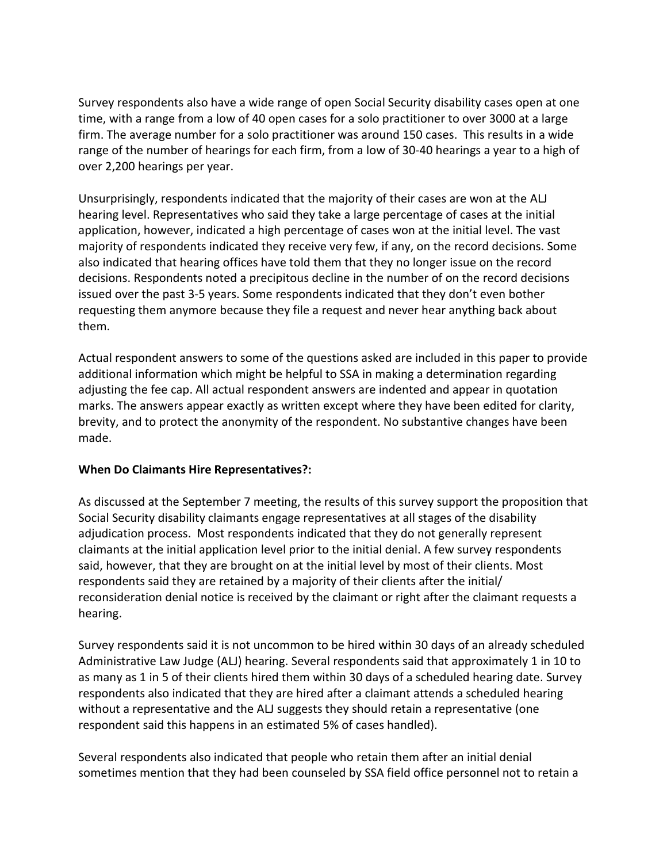Survey respondents also have a wide range of open Social Security disability cases open at one time, with a range from a low of 40 open cases for a solo practitioner to over 3000 at a large firm. The average number for a solo practitioner was around 150 cases. This results in a wide range of the number of hearings for each firm, from a low of 30-40 hearings a year to a high of over 2,200 hearings per year.

Unsurprisingly, respondents indicated that the majority of their cases are won at the ALJ hearing level. Representatives who said they take a large percentage of cases at the initial application, however, indicated a high percentage of cases won at the initial level. The vast majority of respondents indicated they receive very few, if any, on the record decisions. Some also indicated that hearing offices have told them that they no longer issue on the record decisions. Respondents noted a precipitous decline in the number of on the record decisions issued over the past 3-5 years. Some respondents indicated that they don't even bother requesting them anymore because they file a request and never hear anything back about them.

Actual respondent answers to some of the questions asked are included in this paper to provide additional information which might be helpful to SSA in making a determination regarding adjusting the fee cap. All actual respondent answers are indented and appear in quotation marks. The answers appear exactly as written except where they have been edited for clarity, brevity, and to protect the anonymity of the respondent. No substantive changes have been made.

# **When Do Claimants Hire Representatives?:**

As discussed at the September 7 meeting, the results of this survey support the proposition that Social Security disability claimants engage representatives at all stages of the disability adjudication process. Most respondents indicated that they do not generally represent claimants at the initial application level prior to the initial denial. A few survey respondents said, however, that they are brought on at the initial level by most of their clients. Most respondents said they are retained by a majority of their clients after the initial/ reconsideration denial notice is received by the claimant or right after the claimant requests a hearing.

Survey respondents said it is not uncommon to be hired within 30 days of an already scheduled Administrative Law Judge (ALJ) hearing. Several respondents said that approximately 1 in 10 to as many as 1 in 5 of their clients hired them within 30 days of a scheduled hearing date. Survey respondents also indicated that they are hired after a claimant attends a scheduled hearing without a representative and the ALJ suggests they should retain a representative (one respondent said this happens in an estimated 5% of cases handled).

Several respondents also indicated that people who retain them after an initial denial sometimes mention that they had been counseled by SSA field office personnel not to retain a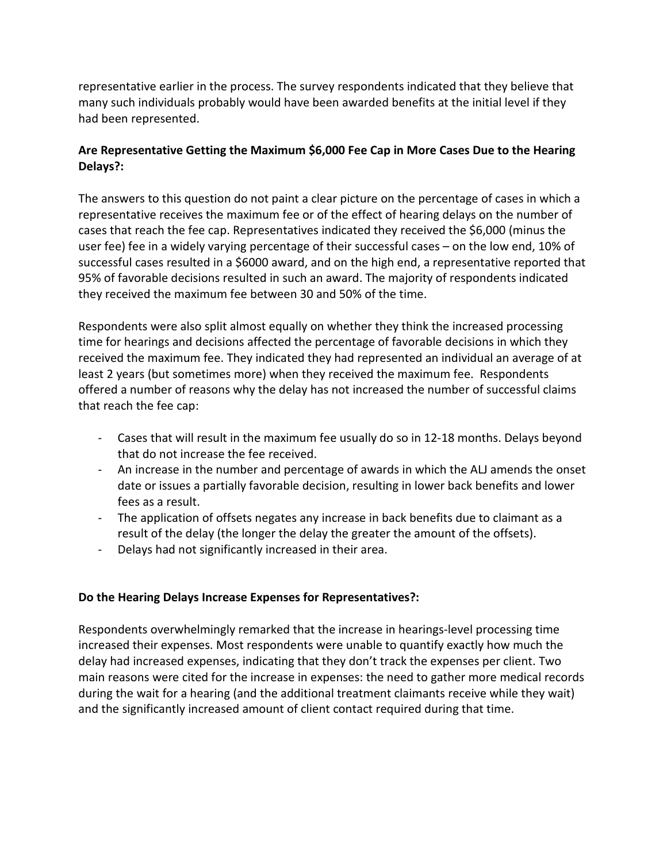representative earlier in the process. The survey respondents indicated that they believe that many such individuals probably would have been awarded benefits at the initial level if they had been represented.

# **Are Representative Getting the Maximum \$6,000 Fee Cap in More Cases Due to the Hearing Delays?:**

The answers to this question do not paint a clear picture on the percentage of cases in which a representative receives the maximum fee or of the effect of hearing delays on the number of cases that reach the fee cap. Representatives indicated they received the \$6,000 (minus the user fee) fee in a widely varying percentage of their successful cases – on the low end, 10% of successful cases resulted in a \$6000 award, and on the high end, a representative reported that 95% of favorable decisions resulted in such an award. The majority of respondents indicated they received the maximum fee between 30 and 50% of the time.

Respondents were also split almost equally on whether they think the increased processing time for hearings and decisions affected the percentage of favorable decisions in which they received the maximum fee. They indicated they had represented an individual an average of at least 2 years (but sometimes more) when they received the maximum fee. Respondents offered a number of reasons why the delay has not increased the number of successful claims that reach the fee cap:

- Cases that will result in the maximum fee usually do so in 12-18 months. Delays beyond that do not increase the fee received.
- An increase in the number and percentage of awards in which the ALJ amends the onset date or issues a partially favorable decision, resulting in lower back benefits and lower fees as a result.
- The application of offsets negates any increase in back benefits due to claimant as a result of the delay (the longer the delay the greater the amount of the offsets).
- Delays had not significantly increased in their area.

# **Do the Hearing Delays Increase Expenses for Representatives?:**

Respondents overwhelmingly remarked that the increase in hearings-level processing time increased their expenses. Most respondents were unable to quantify exactly how much the delay had increased expenses, indicating that they don't track the expenses per client. Two main reasons were cited for the increase in expenses: the need to gather more medical records during the wait for a hearing (and the additional treatment claimants receive while they wait) and the significantly increased amount of client contact required during that time.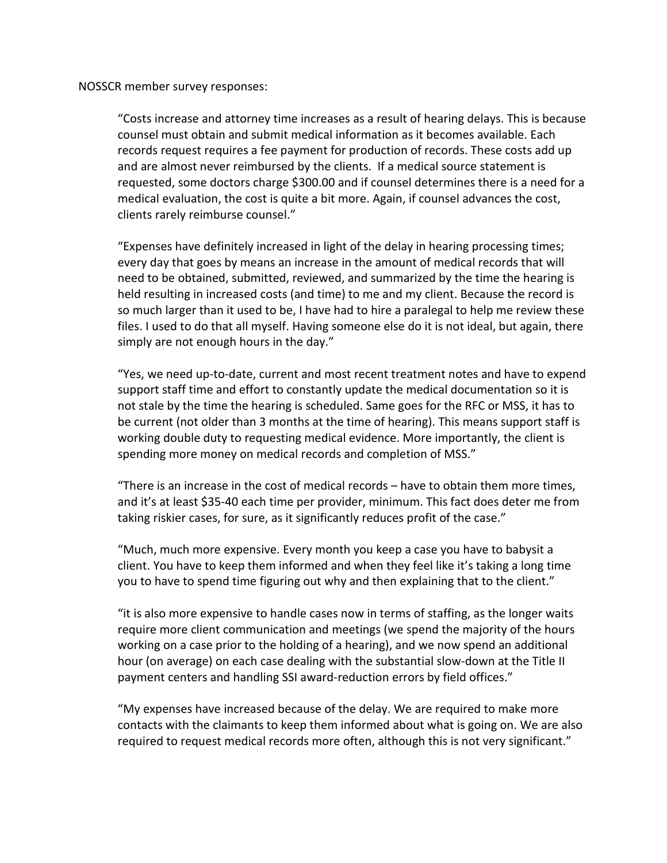NOSSCR member survey responses:

"Costs increase and attorney time increases as a result of hearing delays. This is because counsel must obtain and submit medical information as it becomes available. Each records request requires a fee payment for production of records. These costs add up and are almost never reimbursed by the clients. If a medical source statement is requested, some doctors charge \$300.00 and if counsel determines there is a need for a medical evaluation, the cost is quite a bit more. Again, if counsel advances the cost, clients rarely reimburse counsel."

"Expenses have definitely increased in light of the delay in hearing processing times; every day that goes by means an increase in the amount of medical records that will need to be obtained, submitted, reviewed, and summarized by the time the hearing is held resulting in increased costs (and time) to me and my client. Because the record is so much larger than it used to be, I have had to hire a paralegal to help me review these files. I used to do that all myself. Having someone else do it is not ideal, but again, there simply are not enough hours in the day."

"Yes, we need up-to-date, current and most recent treatment notes and have to expend support staff time and effort to constantly update the medical documentation so it is not stale by the time the hearing is scheduled. Same goes for the RFC or MSS, it has to be current (not older than 3 months at the time of hearing). This means support staff is working double duty to requesting medical evidence. More importantly, the client is spending more money on medical records and completion of MSS."

"There is an increase in the cost of medical records – have to obtain them more times, and it's at least \$35-40 each time per provider, minimum. This fact does deter me from taking riskier cases, for sure, as it significantly reduces profit of the case."

"Much, much more expensive. Every month you keep a case you have to babysit a client. You have to keep them informed and when they feel like it's taking a long time you to have to spend time figuring out why and then explaining that to the client."

"it is also more expensive to handle cases now in terms of staffing, as the longer waits require more client communication and meetings (we spend the majority of the hours working on a case prior to the holding of a hearing), and we now spend an additional hour (on average) on each case dealing with the substantial slow-down at the Title II payment centers and handling SSI award-reduction errors by field offices."

"My expenses have increased because of the delay. We are required to make more contacts with the claimants to keep them informed about what is going on. We are also required to request medical records more often, although this is not very significant."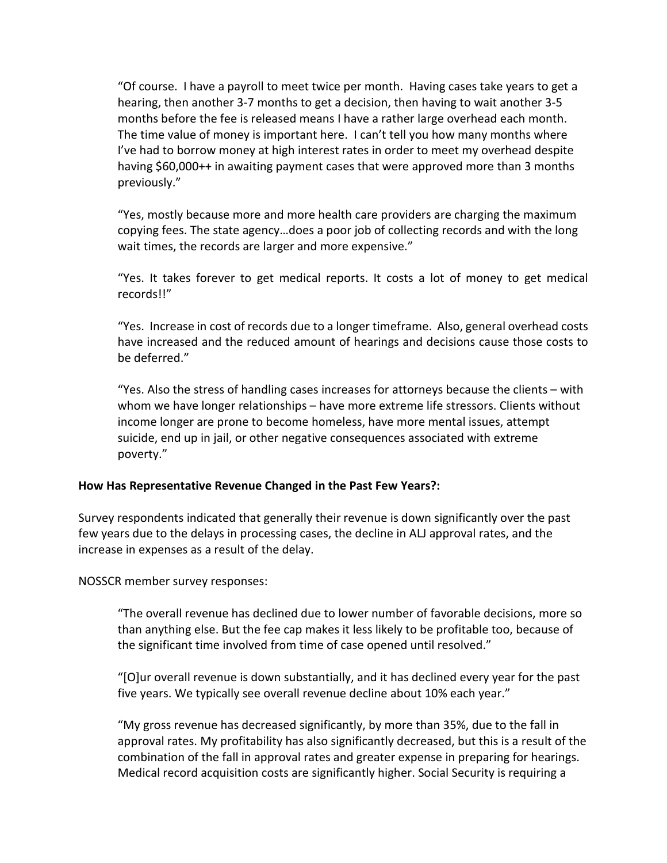"Of course. I have a payroll to meet twice per month. Having cases take years to get a hearing, then another 3-7 months to get a decision, then having to wait another 3-5 months before the fee is released means I have a rather large overhead each month. The time value of money is important here. I can't tell you how many months where I've had to borrow money at high interest rates in order to meet my overhead despite having \$60,000++ in awaiting payment cases that were approved more than 3 months previously."

"Yes, mostly because more and more health care providers are charging the maximum copying fees. The state agency…does a poor job of collecting records and with the long wait times, the records are larger and more expensive."

"Yes. It takes forever to get medical reports. It costs a lot of money to get medical records!!"

"Yes. Increase in cost of records due to a longer timeframe. Also, general overhead costs have increased and the reduced amount of hearings and decisions cause those costs to be deferred."

"Yes. Also the stress of handling cases increases for attorneys because the clients – with whom we have longer relationships – have more extreme life stressors. Clients without income longer are prone to become homeless, have more mental issues, attempt suicide, end up in jail, or other negative consequences associated with extreme poverty."

#### **How Has Representative Revenue Changed in the Past Few Years?:**

Survey respondents indicated that generally their revenue is down significantly over the past few years due to the delays in processing cases, the decline in ALJ approval rates, and the increase in expenses as a result of the delay.

NOSSCR member survey responses:

"The overall revenue has declined due to lower number of favorable decisions, more so than anything else. But the fee cap makes it less likely to be profitable too, because of the significant time involved from time of case opened until resolved."

"[O]ur overall revenue is down substantially, and it has declined every year for the past five years. We typically see overall revenue decline about 10% each year."

"My gross revenue has decreased significantly, by more than 35%, due to the fall in approval rates. My profitability has also significantly decreased, but this is a result of the combination of the fall in approval rates and greater expense in preparing for hearings. Medical record acquisition costs are significantly higher. Social Security is requiring a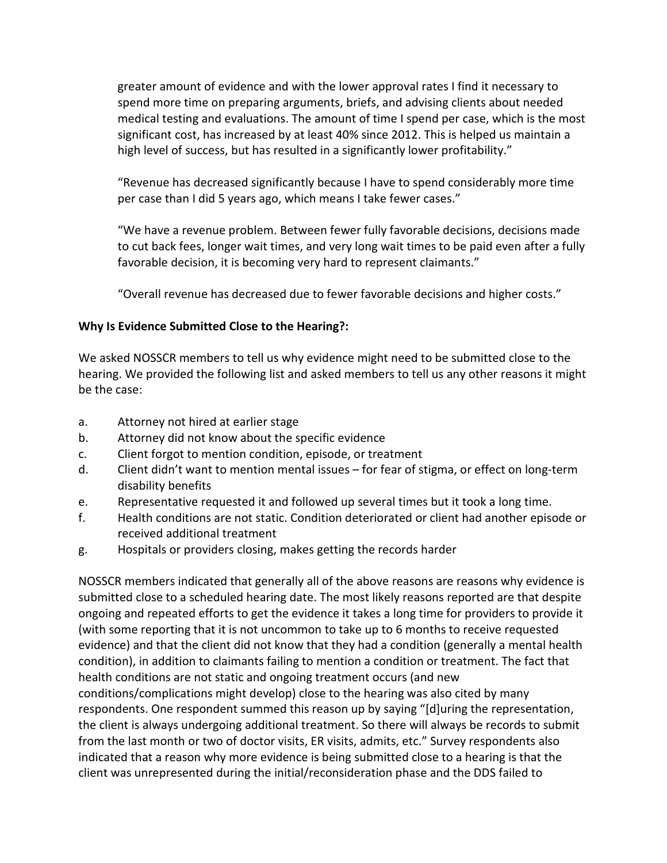greater amount of evidence and with the lower approval rates I find it necessary to spend more time on preparing arguments, briefs, and advising clients about needed medical testing and evaluations. The amount of time I spend per case, which is the most significant cost, has increased by at least 40% since 2012. This is helped us maintain a high level of success, but has resulted in a significantly lower profitability."

"Revenue has decreased significantly because I have to spend considerably more time per case than I did 5 years ago, which means I take fewer cases."

"We have a revenue problem. Between fewer fully favorable decisions, decisions made to cut back fees, longer wait times, and very long wait times to be paid even after a fully favorable decision, it is becoming very hard to represent claimants."

"Overall revenue has decreased due to fewer favorable decisions and higher costs."

# **Why Is Evidence Submitted Close to the Hearing?:**

We asked NOSSCR members to tell us why evidence might need to be submitted close to the hearing. We provided the following list and asked members to tell us any other reasons it might be the case:

- a. Attorney not hired at earlier stage
- b. Attorney did not know about the specific evidence
- c. Client forgot to mention condition, episode, or treatment
- d. Client didn't want to mention mental issues for fear of stigma, or effect on long-term disability benefits
- e. Representative requested it and followed up several times but it took a long time.
- f. Health conditions are not static. Condition deteriorated or client had another episode or received additional treatment
- g. Hospitals or providers closing, makes getting the records harder

NOSSCR members indicated that generally all of the above reasons are reasons why evidence is submitted close to a scheduled hearing date. The most likely reasons reported are that despite ongoing and repeated efforts to get the evidence it takes a long time for providers to provide it (with some reporting that it is not uncommon to take up to 6 months to receive requested evidence) and that the client did not know that they had a condition (generally a mental health condition), in addition to claimants failing to mention a condition or treatment. The fact that health conditions are not static and ongoing treatment occurs (and new conditions/complications might develop) close to the hearing was also cited by many respondents. One respondent summed this reason up by saying "[d]uring the representation, the client is always undergoing additional treatment. So there will always be records to submit from the last month or two of doctor visits, ER visits, admits, etc." Survey respondents also indicated that a reason why more evidence is being submitted close to a hearing is that the client was unrepresented during the initial/reconsideration phase and the DDS failed to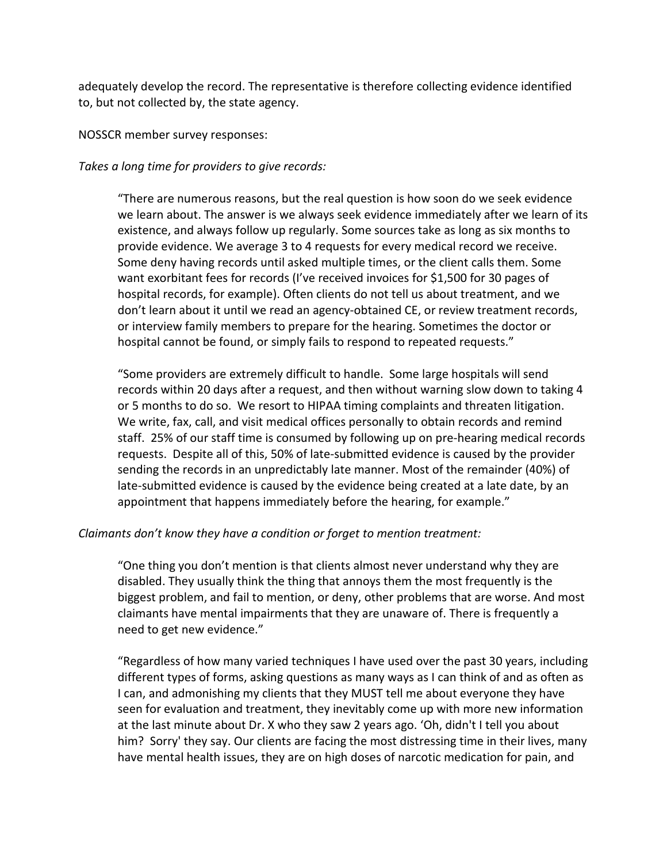adequately develop the record. The representative is therefore collecting evidence identified to, but not collected by, the state agency.

NOSSCR member survey responses:

*Takes a long time for providers to give records:* 

"There are numerous reasons, but the real question is how soon do we seek evidence we learn about. The answer is we always seek evidence immediately after we learn of its existence, and always follow up regularly. Some sources take as long as six months to provide evidence. We average 3 to 4 requests for every medical record we receive. Some deny having records until asked multiple times, or the client calls them. Some want exorbitant fees for records (I've received invoices for \$1,500 for 30 pages of hospital records, for example). Often clients do not tell us about treatment, and we don't learn about it until we read an agency-obtained CE, or review treatment records, or interview family members to prepare for the hearing. Sometimes the doctor or hospital cannot be found, or simply fails to respond to repeated requests."

"Some providers are extremely difficult to handle. Some large hospitals will send records within 20 days after a request, and then without warning slow down to taking 4 or 5 months to do so. We resort to HIPAA timing complaints and threaten litigation. We write, fax, call, and visit medical offices personally to obtain records and remind staff. 25% of our staff time is consumed by following up on pre-hearing medical records requests. Despite all of this, 50% of late-submitted evidence is caused by the provider sending the records in an unpredictably late manner. Most of the remainder (40%) of late-submitted evidence is caused by the evidence being created at a late date, by an appointment that happens immediately before the hearing, for example."

#### *Claimants don't know they have a condition or forget to mention treatment:*

"One thing you don't mention is that clients almost never understand why they are disabled. They usually think the thing that annoys them the most frequently is the biggest problem, and fail to mention, or deny, other problems that are worse. And most claimants have mental impairments that they are unaware of. There is frequently a need to get new evidence."

"Regardless of how many varied techniques I have used over the past 30 years, including different types of forms, asking questions as many ways as I can think of and as often as I can, and admonishing my clients that they MUST tell me about everyone they have seen for evaluation and treatment, they inevitably come up with more new information at the last minute about Dr. X who they saw 2 years ago. 'Oh, didn't I tell you about him? Sorry' they say. Our clients are facing the most distressing time in their lives, many have mental health issues, they are on high doses of narcotic medication for pain, and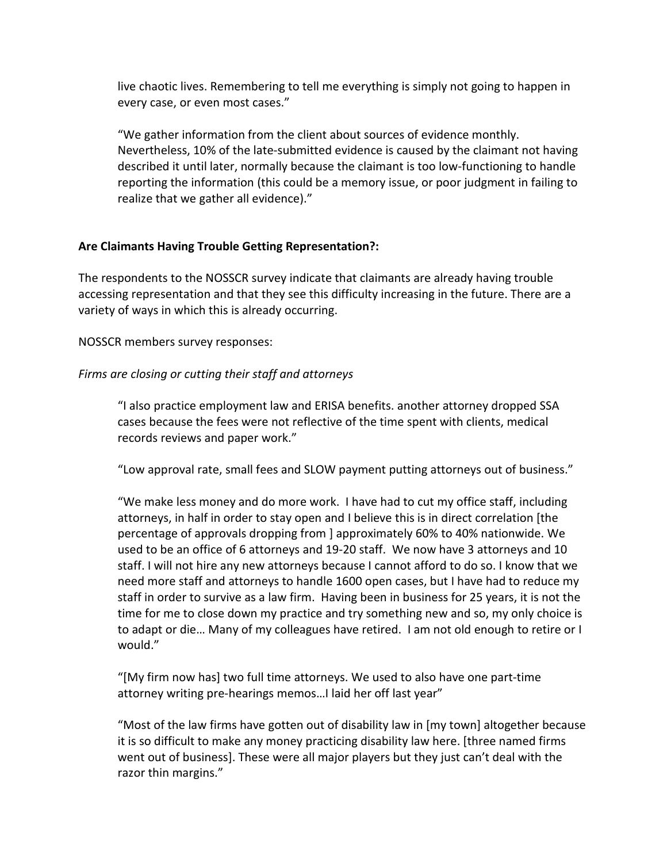live chaotic lives. Remembering to tell me everything is simply not going to happen in every case, or even most cases."

"We gather information from the client about sources of evidence monthly. Nevertheless, 10% of the late-submitted evidence is caused by the claimant not having described it until later, normally because the claimant is too low-functioning to handle reporting the information (this could be a memory issue, or poor judgment in failing to realize that we gather all evidence)."

# **Are Claimants Having Trouble Getting Representation?:**

The respondents to the NOSSCR survey indicate that claimants are already having trouble accessing representation and that they see this difficulty increasing in the future. There are a variety of ways in which this is already occurring.

NOSSCR members survey responses:

# *Firms are closing or cutting their staff and attorneys*

"I also practice employment law and ERISA benefits. another attorney dropped SSA cases because the fees were not reflective of the time spent with clients, medical records reviews and paper work."

"Low approval rate, small fees and SLOW payment putting attorneys out of business."

"We make less money and do more work. I have had to cut my office staff, including attorneys, in half in order to stay open and I believe this is in direct correlation [the percentage of approvals dropping from ] approximately 60% to 40% nationwide. We used to be an office of 6 attorneys and 19-20 staff. We now have 3 attorneys and 10 staff. I will not hire any new attorneys because I cannot afford to do so. I know that we need more staff and attorneys to handle 1600 open cases, but I have had to reduce my staff in order to survive as a law firm. Having been in business for 25 years, it is not the time for me to close down my practice and try something new and so, my only choice is to adapt or die… Many of my colleagues have retired. I am not old enough to retire or I would."

"[My firm now has] two full time attorneys. We used to also have one part-time attorney writing pre-hearings memos…I laid her off last year"

"Most of the law firms have gotten out of disability law in [my town] altogether because it is so difficult to make any money practicing disability law here. [three named firms went out of business]. These were all major players but they just can't deal with the razor thin margins."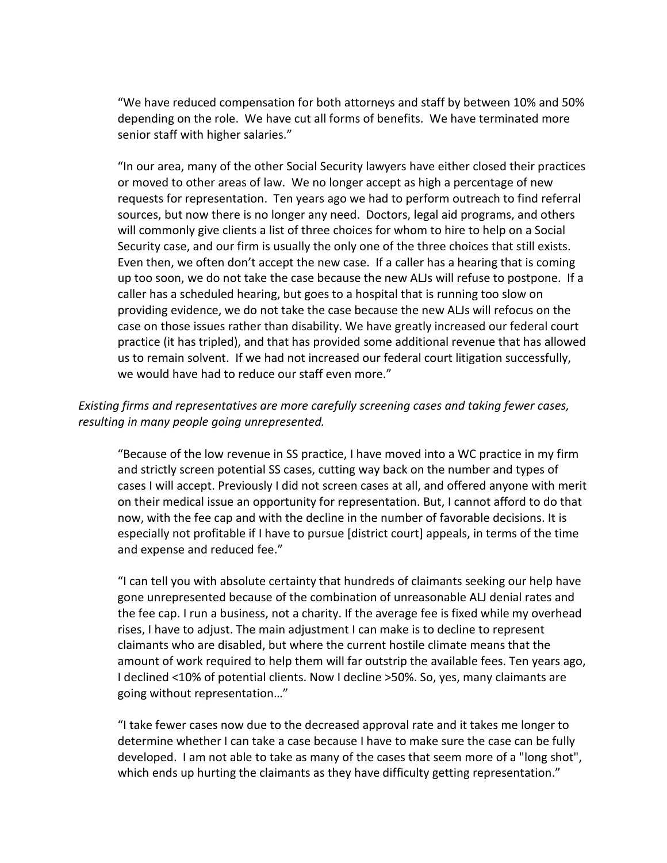"We have reduced compensation for both attorneys and staff by between 10% and 50% depending on the role. We have cut all forms of benefits. We have terminated more senior staff with higher salaries."

"In our area, many of the other Social Security lawyers have either closed their practices or moved to other areas of law. We no longer accept as high a percentage of new requests for representation. Ten years ago we had to perform outreach to find referral sources, but now there is no longer any need. Doctors, legal aid programs, and others will commonly give clients a list of three choices for whom to hire to help on a Social Security case, and our firm is usually the only one of the three choices that still exists. Even then, we often don't accept the new case. If a caller has a hearing that is coming up too soon, we do not take the case because the new ALJs will refuse to postpone. If a caller has a scheduled hearing, but goes to a hospital that is running too slow on providing evidence, we do not take the case because the new ALJs will refocus on the case on those issues rather than disability. We have greatly increased our federal court practice (it has tripled), and that has provided some additional revenue that has allowed us to remain solvent. If we had not increased our federal court litigation successfully, we would have had to reduce our staff even more."

# *Existing firms and representatives are more carefully screening cases and taking fewer cases, resulting in many people going unrepresented.*

"Because of the low revenue in SS practice, I have moved into a WC practice in my firm and strictly screen potential SS cases, cutting way back on the number and types of cases I will accept. Previously I did not screen cases at all, and offered anyone with merit on their medical issue an opportunity for representation. But, I cannot afford to do that now, with the fee cap and with the decline in the number of favorable decisions. It is especially not profitable if I have to pursue [district court] appeals, in terms of the time and expense and reduced fee."

"I can tell you with absolute certainty that hundreds of claimants seeking our help have gone unrepresented because of the combination of unreasonable ALJ denial rates and the fee cap. I run a business, not a charity. If the average fee is fixed while my overhead rises, I have to adjust. The main adjustment I can make is to decline to represent claimants who are disabled, but where the current hostile climate means that the amount of work required to help them will far outstrip the available fees. Ten years ago, I declined <10% of potential clients. Now I decline >50%. So, yes, many claimants are going without representation…"

"I take fewer cases now due to the decreased approval rate and it takes me longer to determine whether I can take a case because I have to make sure the case can be fully developed. I am not able to take as many of the cases that seem more of a "long shot", which ends up hurting the claimants as they have difficulty getting representation."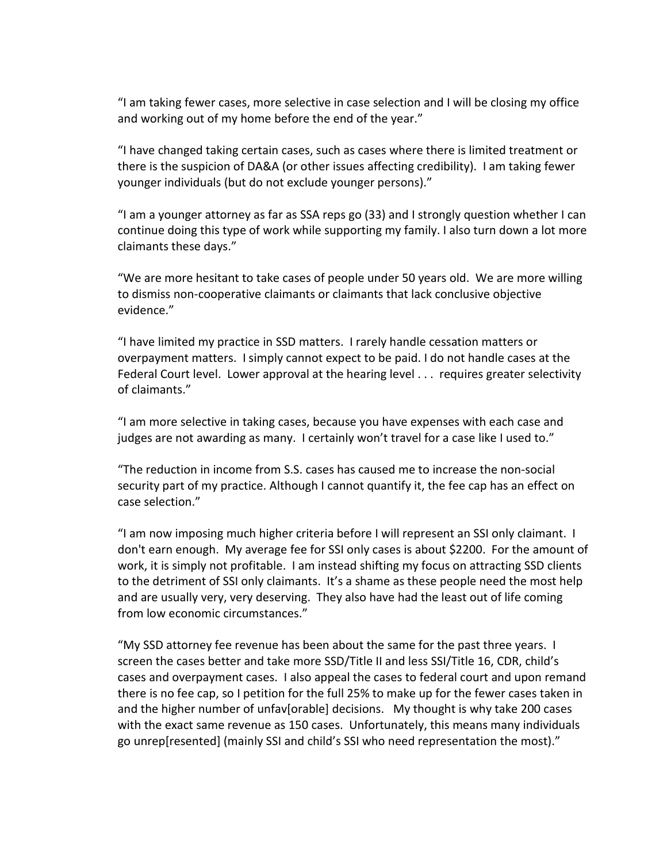"I am taking fewer cases, more selective in case selection and I will be closing my office and working out of my home before the end of the year."

"I have changed taking certain cases, such as cases where there is limited treatment or there is the suspicion of DA&A (or other issues affecting credibility). I am taking fewer younger individuals (but do not exclude younger persons)."

"I am a younger attorney as far as SSA reps go (33) and I strongly question whether I can continue doing this type of work while supporting my family. I also turn down a lot more claimants these days."

"We are more hesitant to take cases of people under 50 years old. We are more willing to dismiss non-cooperative claimants or claimants that lack conclusive objective evidence."

"I have limited my practice in SSD matters. I rarely handle cessation matters or overpayment matters. I simply cannot expect to be paid. I do not handle cases at the Federal Court level. Lower approval at the hearing level . . . requires greater selectivity of claimants."

"I am more selective in taking cases, because you have expenses with each case and judges are not awarding as many. I certainly won't travel for a case like I used to."

"The reduction in income from S.S. cases has caused me to increase the non-social security part of my practice. Although I cannot quantify it, the fee cap has an effect on case selection."

"I am now imposing much higher criteria before I will represent an SSI only claimant. I don't earn enough. My average fee for SSI only cases is about \$2200. For the amount of work, it is simply not profitable. I am instead shifting my focus on attracting SSD clients to the detriment of SSI only claimants. It's a shame as these people need the most help and are usually very, very deserving. They also have had the least out of life coming from low economic circumstances."

"My SSD attorney fee revenue has been about the same for the past three years. I screen the cases better and take more SSD/Title II and less SSI/Title 16, CDR, child's cases and overpayment cases. I also appeal the cases to federal court and upon remand there is no fee cap, so I petition for the full 25% to make up for the fewer cases taken in and the higher number of unfav[orable] decisions. My thought is why take 200 cases with the exact same revenue as 150 cases. Unfortunately, this means many individuals go unrep[resented] (mainly SSI and child's SSI who need representation the most)."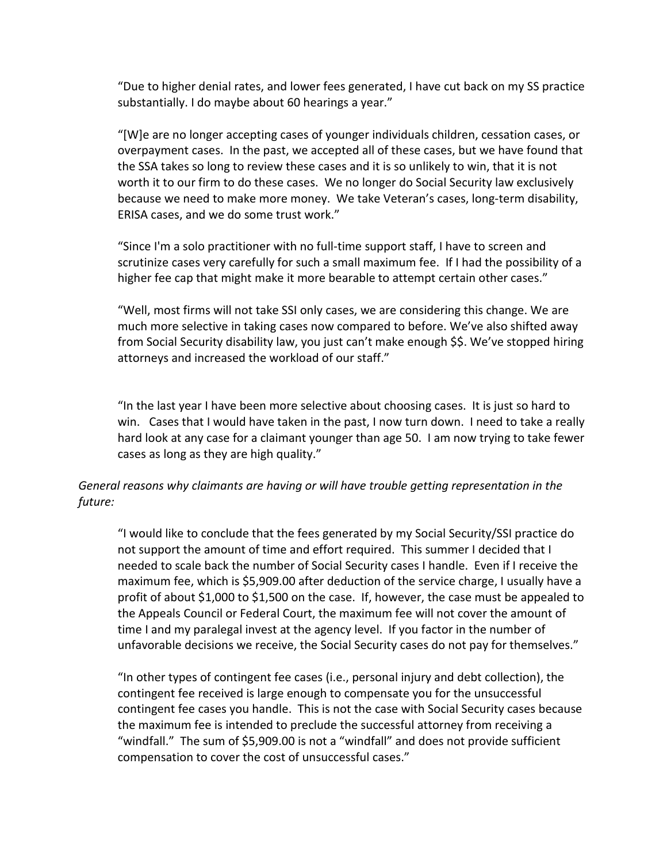"Due to higher denial rates, and lower fees generated, I have cut back on my SS practice substantially. I do maybe about 60 hearings a year."

"[W]e are no longer accepting cases of younger individuals children, cessation cases, or overpayment cases. In the past, we accepted all of these cases, but we have found that the SSA takes so long to review these cases and it is so unlikely to win, that it is not worth it to our firm to do these cases. We no longer do Social Security law exclusively because we need to make more money. We take Veteran's cases, long-term disability, ERISA cases, and we do some trust work."

"Since I'm a solo practitioner with no full-time support staff, I have to screen and scrutinize cases very carefully for such a small maximum fee. If I had the possibility of a higher fee cap that might make it more bearable to attempt certain other cases."

"Well, most firms will not take SSI only cases, we are considering this change. We are much more selective in taking cases now compared to before. We've also shifted away from Social Security disability law, you just can't make enough \$\$. We've stopped hiring attorneys and increased the workload of our staff."

"In the last year I have been more selective about choosing cases. It is just so hard to win. Cases that I would have taken in the past, I now turn down. I need to take a really hard look at any case for a claimant younger than age 50. I am now trying to take fewer cases as long as they are high quality."

# *General reasons why claimants are having or will have trouble getting representation in the future:*

"I would like to conclude that the fees generated by my Social Security/SSI practice do not support the amount of time and effort required. This summer I decided that I needed to scale back the number of Social Security cases I handle. Even if I receive the maximum fee, which is \$5,909.00 after deduction of the service charge, I usually have a profit of about \$1,000 to \$1,500 on the case. If, however, the case must be appealed to the Appeals Council or Federal Court, the maximum fee will not cover the amount of time I and my paralegal invest at the agency level. If you factor in the number of unfavorable decisions we receive, the Social Security cases do not pay for themselves."

"In other types of contingent fee cases (i.e., personal injury and debt collection), the contingent fee received is large enough to compensate you for the unsuccessful contingent fee cases you handle. This is not the case with Social Security cases because the maximum fee is intended to preclude the successful attorney from receiving a "windfall." The sum of \$5,909.00 is not a "windfall" and does not provide sufficient compensation to cover the cost of unsuccessful cases."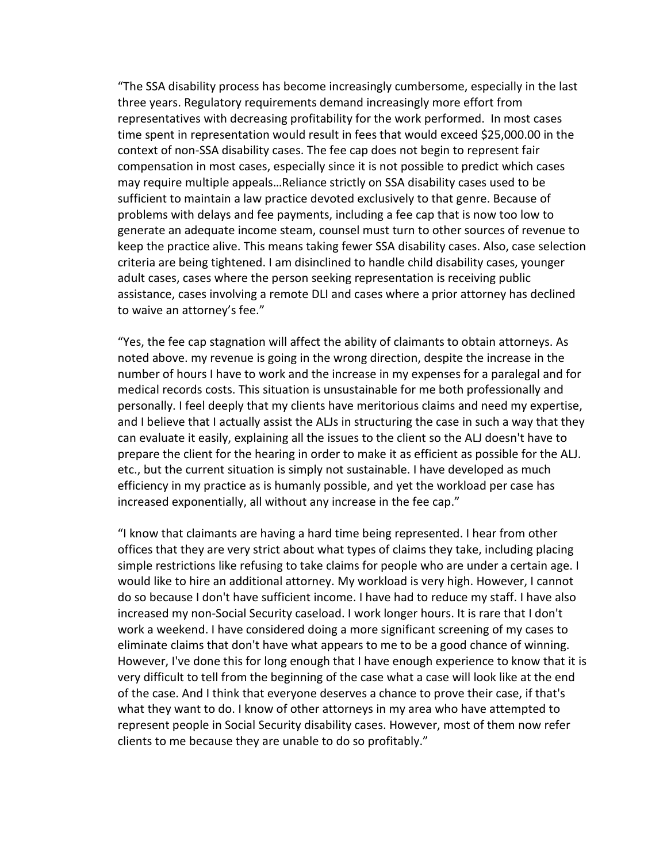"The SSA disability process has become increasingly cumbersome, especially in the last three years. Regulatory requirements demand increasingly more effort from representatives with decreasing profitability for the work performed. In most cases time spent in representation would result in fees that would exceed \$25,000.00 in the context of non-SSA disability cases. The fee cap does not begin to represent fair compensation in most cases, especially since it is not possible to predict which cases may require multiple appeals…Reliance strictly on SSA disability cases used to be sufficient to maintain a law practice devoted exclusively to that genre. Because of problems with delays and fee payments, including a fee cap that is now too low to generate an adequate income steam, counsel must turn to other sources of revenue to keep the practice alive. This means taking fewer SSA disability cases. Also, case selection criteria are being tightened. I am disinclined to handle child disability cases, younger adult cases, cases where the person seeking representation is receiving public assistance, cases involving a remote DLI and cases where a prior attorney has declined to waive an attorney's fee."

"Yes, the fee cap stagnation will affect the ability of claimants to obtain attorneys. As noted above. my revenue is going in the wrong direction, despite the increase in the number of hours I have to work and the increase in my expenses for a paralegal and for medical records costs. This situation is unsustainable for me both professionally and personally. I feel deeply that my clients have meritorious claims and need my expertise, and I believe that I actually assist the ALJs in structuring the case in such a way that they can evaluate it easily, explaining all the issues to the client so the ALJ doesn't have to prepare the client for the hearing in order to make it as efficient as possible for the ALJ. etc., but the current situation is simply not sustainable. I have developed as much efficiency in my practice as is humanly possible, and yet the workload per case has increased exponentially, all without any increase in the fee cap."

"I know that claimants are having a hard time being represented. I hear from other offices that they are very strict about what types of claims they take, including placing simple restrictions like refusing to take claims for people who are under a certain age. I would like to hire an additional attorney. My workload is very high. However, I cannot do so because I don't have sufficient income. I have had to reduce my staff. I have also increased my non-Social Security caseload. I work longer hours. It is rare that I don't work a weekend. I have considered doing a more significant screening of my cases to eliminate claims that don't have what appears to me to be a good chance of winning. However, I've done this for long enough that I have enough experience to know that it is very difficult to tell from the beginning of the case what a case will look like at the end of the case. And I think that everyone deserves a chance to prove their case, if that's what they want to do. I know of other attorneys in my area who have attempted to represent people in Social Security disability cases. However, most of them now refer clients to me because they are unable to do so profitably."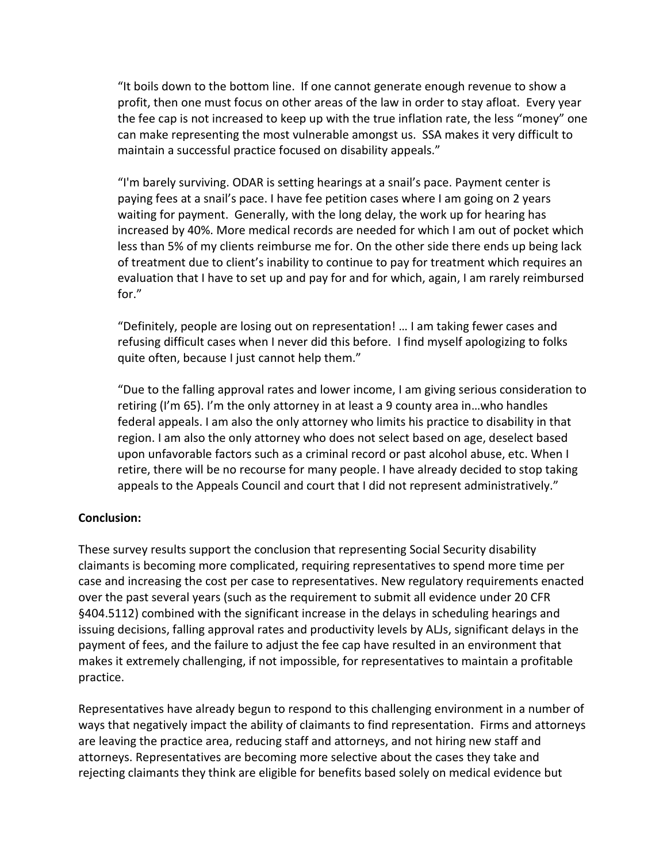"It boils down to the bottom line. If one cannot generate enough revenue to show a profit, then one must focus on other areas of the law in order to stay afloat. Every year the fee cap is not increased to keep up with the true inflation rate, the less "money" one can make representing the most vulnerable amongst us. SSA makes it very difficult to maintain a successful practice focused on disability appeals."

"I'm barely surviving. ODAR is setting hearings at a snail's pace. Payment center is paying fees at a snail's pace. I have fee petition cases where I am going on 2 years waiting for payment. Generally, with the long delay, the work up for hearing has increased by 40%. More medical records are needed for which I am out of pocket which less than 5% of my clients reimburse me for. On the other side there ends up being lack of treatment due to client's inability to continue to pay for treatment which requires an evaluation that I have to set up and pay for and for which, again, I am rarely reimbursed for."

"Definitely, people are losing out on representation! … I am taking fewer cases and refusing difficult cases when I never did this before. I find myself apologizing to folks quite often, because I just cannot help them."

"Due to the falling approval rates and lower income, I am giving serious consideration to retiring (I'm 65). I'm the only attorney in at least a 9 county area in…who handles federal appeals. I am also the only attorney who limits his practice to disability in that region. I am also the only attorney who does not select based on age, deselect based upon unfavorable factors such as a criminal record or past alcohol abuse, etc. When I retire, there will be no recourse for many people. I have already decided to stop taking appeals to the Appeals Council and court that I did not represent administratively."

#### **Conclusion:**

These survey results support the conclusion that representing Social Security disability claimants is becoming more complicated, requiring representatives to spend more time per case and increasing the cost per case to representatives. New regulatory requirements enacted over the past several years (such as the requirement to submit all evidence under 20 CFR §404.5112) combined with the significant increase in the delays in scheduling hearings and issuing decisions, falling approval rates and productivity levels by ALJs, significant delays in the payment of fees, and the failure to adjust the fee cap have resulted in an environment that makes it extremely challenging, if not impossible, for representatives to maintain a profitable practice.

Representatives have already begun to respond to this challenging environment in a number of ways that negatively impact the ability of claimants to find representation. Firms and attorneys are leaving the practice area, reducing staff and attorneys, and not hiring new staff and attorneys. Representatives are becoming more selective about the cases they take and rejecting claimants they think are eligible for benefits based solely on medical evidence but